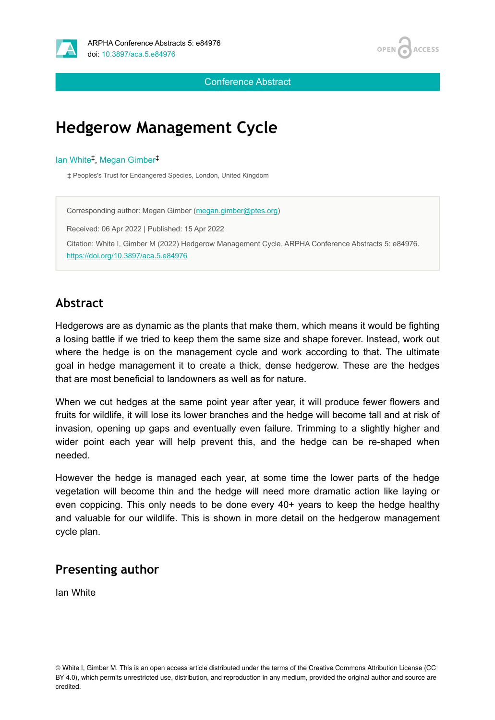



Conference Abstract

# **Hedgerow Management Cycle**

#### lan White<sup>‡</sup>, Megan Gimber<sup>‡</sup>

‡ Peoples's Trust for Endangered Species, London, United Kingdom

Corresponding author: Megan Gimber [\(megan.gimber@ptes.org](mailto:megan.gimber@ptes.org)) Received: 06 Apr 2022 | Published: 15 Apr 2022 Citation: White I, Gimber M (2022) Hedgerow Management Cycle. ARPHA Conference Abstracts 5: e84976. <https://doi.org/10.3897/aca.5.e84976>

### **Abstract**

Hedgerows are as dynamic as the plants that make them, which means it would be fighting a losing battle if we tried to keep them the same size and shape forever. Instead, work out where the hedge is on the management cycle and work according to that. The ultimate goal in hedge management it to create a thick, dense hedgerow. These are the hedges that are most beneficial to landowners as well as for nature.

When we cut hedges at the same point year after year, it will produce fewer flowers and fruits for wildlife, it will lose its lower branches and the hedge will become tall and at risk of invasion, opening up gaps and eventually even failure. Trimming to a slightly higher and wider point each year will help prevent this, and the hedge can be re-shaped when needed.

However the hedge is managed each year, at some time the lower parts of the hedge vegetation will become thin and the hedge will need more dramatic action like laying or even coppicing. This only needs to be done every 40+ years to keep the hedge healthy and valuable for our wildlife. This is shown in more detail on the hedgerow management cycle plan.

#### **Presenting author**

Ian White